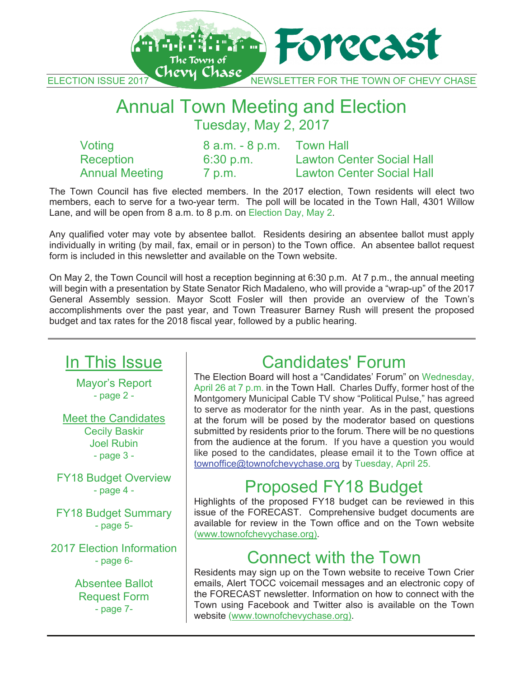

### Annual Town Meeting and Election Tuesday, May 2, 2017

| Voting                | 8 a.m. - 8 p.m. | <b>Town Hall</b>                 |
|-----------------------|-----------------|----------------------------------|
| Reception             | $6:30$ p.m.     | <b>Lawton Center Social Hall</b> |
| <b>Annual Meeting</b> | 7 p.m.          | <b>Lawton Center Social Hall</b> |

The Town Council has five elected members. In the 2017 election, Town residents will elect two members, each to serve for a two-year term. The poll will be located in the Town Hall, 4301 Willow Lane, and will be open from 8 a.m. to 8 p.m. on Election Day, May 2.

Any qualified voter may vote by absentee ballot. Residents desiring an absentee ballot must apply individually in writing (by mail, fax, email or in person) to the Town office. An absentee ballot request form is included in this newsletter and available on the Town website.

On May 2, the Town Council will host a reception beginning at 6:30 p.m. At 7 p.m., the annual meeting will begin with a presentation by State Senator Rich Madaleno, who will provide a "wrap-up" of the 2017 General Assembly session. Mayor Scott Fosler will then provide an overview of the Town's accomplishments over the past year, and Town Treasurer Barney Rush will present the proposed budget and tax rates for the 2018 fiscal year, followed by a public hearing.

# In This Issue

Mayor's Report - page 2 -

Meet the Candidates Cecily Baskir Joel Rubin - page 3 -

FY18 Budget Overview - page 4 -

FY18 Budget Summary - page 5-

2017 Election Information - page 6-

> Absentee Ballot Request Form - page 7-

# Candidates' Forum

The Election Board will host a "Candidates' Forum" on Wednesday, April 26 at 7 p.m. in the Town Hall. Charles Duffy, former host of the Montgomery Municipal Cable TV show "Political Pulse," has agreed to serve as moderator for the ninth year. As in the past, questions at the forum will be posed by the moderator based on questions submitted by residents prior to the forum. There will be no questions from the audience at the forum. If you have a question you would like posed to the candidates, please email it to the Town office at townoffice@townofchevychase.org by Tuesday, April 25.

# Proposed FY18 Budget

Highlights of the proposed FY18 budget can be reviewed in this issue of the FORECAST. Comprehensive budget documents are available for review in the Town office and on the Town website (www.townofchevychase.org).

# Connect with the Town

Residents may sign up on the Town website to receive Town Crier emails, Alert TOCC voicemail messages and an electronic copy of the FORECAST newsletter. Information on how to connect with the Town using Facebook and Twitter also is available on the Town website (www.townofchevychase.org).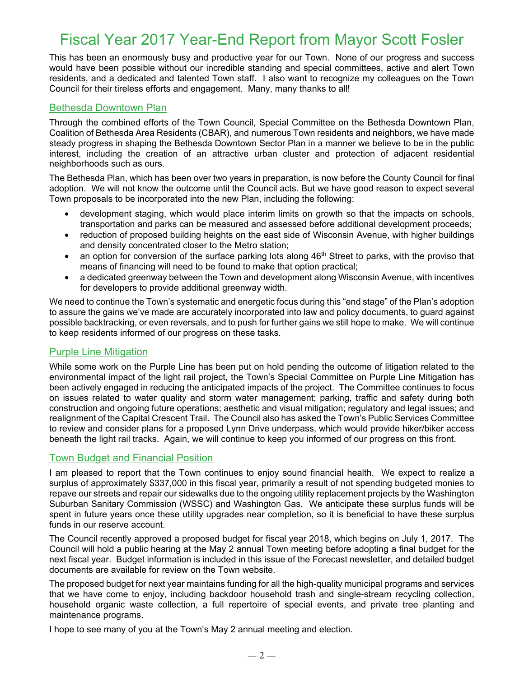# Fiscal Year 2017 Year-End Report from Mayor Scott Fosler

This has been an enormously busy and productive year for our Town. None of our progress and success would have been possible without our incredible standing and special committees, active and alert Town residents, and a dedicated and talented Town staff. I also want to recognize my colleagues on the Town Council for their tireless efforts and engagement. Many, many thanks to all!

#### Bethesda Downtown Plan

Through the combined efforts of the Town Council, Special Committee on the Bethesda Downtown Plan, Coalition of Bethesda Area Residents (CBAR), and numerous Town residents and neighbors, we have made steady progress in shaping the Bethesda Downtown Sector Plan in a manner we believe to be in the public interest, including the creation of an attractive urban cluster and protection of adjacent residential neighborhoods such as ours.

The Bethesda Plan, which has been over two years in preparation, is now before the County Council for final adoption. We will not know the outcome until the Council acts. But we have good reason to expect several Town proposals to be incorporated into the new Plan, including the following:

- development staging, which would place interim limits on growth so that the impacts on schools, transportation and parks can be measured and assessed before additional development proceeds;
- reduction of proposed building heights on the east side of Wisconsin Avenue, with higher buildings and density concentrated closer to the Metro station;
- an option for conversion of the surface parking lots along  $46<sup>th</sup>$  Street to parks, with the proviso that means of financing will need to be found to make that option practical;
- a dedicated greenway between the Town and development along Wisconsin Avenue, with incentives for developers to provide additional greenway width.

We need to continue the Town's systematic and energetic focus during this "end stage" of the Plan's adoption to assure the gains we've made are accurately incorporated into law and policy documents, to guard against possible backtracking, or even reversals, and to push for further gains we still hope to make. We will continue to keep residents informed of our progress on these tasks.

#### Purple Line Mitigation

While some work on the Purple Line has been put on hold pending the outcome of litigation related to the environmental impact of the light rail project, the Town's Special Committee on Purple Line Mitigation has been actively engaged in reducing the anticipated impacts of the project. The Committee continues to focus on issues related to water quality and storm water management; parking, traffic and safety during both construction and ongoing future operations; aesthetic and visual mitigation; regulatory and legal issues; and realignment of the Capital Crescent Trail. The Council also has asked the Town's Public Services Committee to review and consider plans for a proposed Lynn Drive underpass, which would provide hiker/biker access beneath the light rail tracks. Again, we will continue to keep you informed of our progress on this front.

#### Town Budget and Financial Position

I am pleased to report that the Town continues to enjoy sound financial health. We expect to realize a surplus of approximately \$337,000 in this fiscal year, primarily a result of not spending budgeted monies to repave our streets and repair our sidewalks due to the ongoing utility replacement projects by the Washington Suburban Sanitary Commission (WSSC) and Washington Gas. We anticipate these surplus funds will be spent in future years once these utility upgrades near completion, so it is beneficial to have these surplus funds in our reserve account.

The Council recently approved a proposed budget for fiscal year 2018, which begins on July 1, 2017. The Council will hold a public hearing at the May 2 annual Town meeting before adopting a final budget for the next fiscal year. Budget information is included in this issue of the Forecast newsletter, and detailed budget documents are available for review on the Town website.

The proposed budget for next year maintains funding for all the high-quality municipal programs and services that we have come to enjoy, including backdoor household trash and single-stream recycling collection, household organic waste collection, a full repertoire of special events, and private tree planting and maintenance programs.

I hope to see many of you at the Town's May 2 annual meeting and election.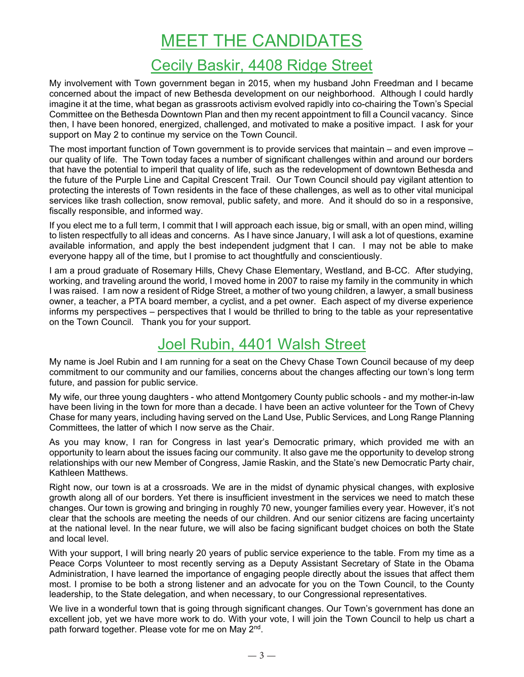# MEET THE CANDIDATES

### Cecily Baskir, 4408 Ridge Street

My involvement with Town government began in 2015, when my husband John Freedman and I became concerned about the impact of new Bethesda development on our neighborhood. Although I could hardly imagine it at the time, what began as grassroots activism evolved rapidly into co-chairing the Town's Special Committee on the Bethesda Downtown Plan and then my recent appointment to fill a Council vacancy. Since then, I have been honored, energized, challenged, and motivated to make a positive impact. I ask for your support on May 2 to continue my service on the Town Council.

The most important function of Town government is to provide services that maintain – and even improve – our quality of life. The Town today faces a number of significant challenges within and around our borders that have the potential to imperil that quality of life, such as the redevelopment of downtown Bethesda and the future of the Purple Line and Capital Crescent Trail. Our Town Council should pay vigilant attention to protecting the interests of Town residents in the face of these challenges, as well as to other vital municipal services like trash collection, snow removal, public safety, and more. And it should do so in a responsive, fiscally responsible, and informed way.

If you elect me to a full term, I commit that I will approach each issue, big or small, with an open mind, willing to listen respectfully to all ideas and concerns. As I have since January, I will ask a lot of questions, examine available information, and apply the best independent judgment that I can. I may not be able to make everyone happy all of the time, but I promise to act thoughtfully and conscientiously.

I am a proud graduate of Rosemary Hills, Chevy Chase Elementary, Westland, and B-CC. After studying, working, and traveling around the world, I moved home in 2007 to raise my family in the community in which I was raised. I am now a resident of Ridge Street, a mother of two young children, a lawyer, a small business owner, a teacher, a PTA board member, a cyclist, and a pet owner. Each aspect of my diverse experience informs my perspectives – perspectives that I would be thrilled to bring to the table as your representative on the Town Council. Thank you for your support.

# Joel Rubin, 4401 Walsh Street

My name is Joel Rubin and I am running for a seat on the Chevy Chase Town Council because of my deep commitment to our community and our families, concerns about the changes affecting our town's long term future, and passion for public service.

My wife, our three young daughters - who attend Montgomery County public schools - and my mother-in-law have been living in the town for more than a decade. I have been an active volunteer for the Town of Chevy Chase for many years, including having served on the Land Use, Public Services, and Long Range Planning Committees, the latter of which I now serve as the Chair.

As you may know, I ran for Congress in last year's Democratic primary, which provided me with an opportunity to learn about the issues facing our community. It also gave me the opportunity to develop strong relationships with our new Member of Congress, Jamie Raskin, and the State's new Democratic Party chair, Kathleen Matthews.

Right now, our town is at a crossroads. We are in the midst of dynamic physical changes, with explosive growth along all of our borders. Yet there is insufficient investment in the services we need to match these changes. Our town is growing and bringing in roughly 70 new, younger families every year. However, it's not clear that the schools are meeting the needs of our children. And our senior citizens are facing uncertainty at the national level. In the near future, we will also be facing significant budget choices on both the State and local level.

With your support, I will bring nearly 20 years of public service experience to the table. From my time as a Peace Corps Volunteer to most recently serving as a Deputy Assistant Secretary of State in the Obama Administration, I have learned the importance of engaging people directly about the issues that affect them most. I promise to be both a strong listener and an advocate for you on the Town Council, to the County leadership, to the State delegation, and when necessary, to our Congressional representatives.

We live in a wonderful town that is going through significant changes. Our Town's government has done an excellent job, yet we have more work to do. With your vote, I will join the Town Council to help us chart a path forward together. Please vote for me on May 2nd.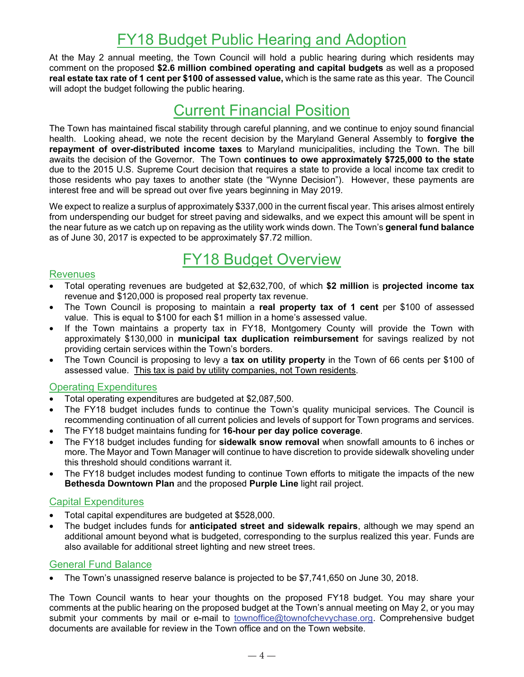## FY18 Budget Public Hearing and Adoption

At the May 2 annual meeting, the Town Council will hold a public hearing during which residents may comment on the proposed **\$2.6 million combined operating and capital budgets** as well as a proposed **real estate tax rate of 1 cent per \$100 of assessed value,** which is the same rate as this year. The Council will adopt the budget following the public hearing.

### Current Financial Position

The Town has maintained fiscal stability through careful planning, and we continue to enjoy sound financial health. Looking ahead, we note the recent decision by the Maryland General Assembly to **forgive the repayment of over-distributed income taxes** to Maryland municipalities, including the Town. The bill awaits the decision of the Governor. The Town **continues to owe approximately \$725,000 to the state** due to the 2015 U.S. Supreme Court decision that requires a state to provide a local income tax credit to those residents who pay taxes to another state (the "Wynne Decision"). However, these payments are interest free and will be spread out over five years beginning in May 2019.

We expect to realize a surplus of approximately \$337,000 in the current fiscal year. This arises almost entirely from underspending our budget for street paving and sidewalks, and we expect this amount will be spent in the near future as we catch up on repaving as the utility work winds down. The Town's **general fund balance** as of June 30, 2017 is expected to be approximately \$7.72 million.

## FY18 Budget Overview

#### **Revenues**

- Total operating revenues are budgeted at \$2,632,700, of which **\$2 million** is **projected income tax** revenue and \$120,000 is proposed real property tax revenue.
- The Town Council is proposing to maintain a **real property tax of 1 cent** per \$100 of assessed value. This is equal to \$100 for each \$1 million in a home's assessed value.
- If the Town maintains a property tax in FY18, Montgomery County will provide the Town with approximately \$130,000 in **municipal tax duplication reimbursement** for savings realized by not providing certain services within the Town's borders.
- The Town Council is proposing to levy a **tax on utility property** in the Town of 66 cents per \$100 of assessed value. This tax is paid by utility companies, not Town residents.

### Operating Expenditures

- Total operating expenditures are budgeted at \$2,087,500.
- The FY18 budget includes funds to continue the Town's quality municipal services. The Council is recommending continuation of all current policies and levels of support for Town programs and services.
- The FY18 budget maintains funding for **16-hour per day police coverage**.
- The FY18 budget includes funding for **sidewalk snow removal** when snowfall amounts to 6 inches or more. The Mayor and Town Manager will continue to have discretion to provide sidewalk shoveling under this threshold should conditions warrant it.
- The FY18 budget includes modest funding to continue Town efforts to mitigate the impacts of the new **Bethesda Downtown Plan** and the proposed **Purple Line** light rail project.

#### Capital Expenditures

- Total capital expenditures are budgeted at \$528,000.
- The budget includes funds for **anticipated street and sidewalk repairs**, although we may spend an additional amount beyond what is budgeted, corresponding to the surplus realized this year. Funds are also available for additional street lighting and new street trees.

#### General Fund Balance

• The Town's unassigned reserve balance is projected to be \$7,741,650 on June 30, 2018.

The Town Council wants to hear your thoughts on the proposed FY18 budget. You may share your comments at the public hearing on the proposed budget at the Town's annual meeting on May 2, or you may submit your comments by mail or e-mail to townoffice@townofchevychase.org. Comprehensive budget documents are available for review in the Town office and on the Town website.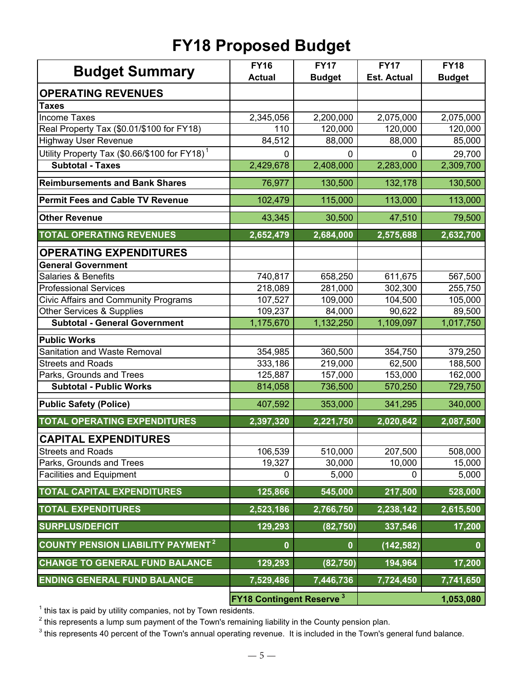# **FY18 Proposed Budget**

| <b>Budget Summary</b>                                     | <b>FY16</b><br><b>Actual</b>     | <b>FY17</b><br><b>Budget</b> | <b>FY17</b><br><b>Est. Actual</b> | <b>FY18</b><br><b>Budget</b> |
|-----------------------------------------------------------|----------------------------------|------------------------------|-----------------------------------|------------------------------|
| <b>OPERATING REVENUES</b>                                 |                                  |                              |                                   |                              |
| <b>Taxes</b>                                              |                                  |                              |                                   |                              |
| <b>Income Taxes</b>                                       | 2,345,056                        | 2,200,000                    | 2,075,000                         | 2,075,000                    |
| Real Property Tax (\$0.01/\$100 for FY18)                 | 110                              | 120,000                      | 120,000                           | 120,000                      |
| <b>Highway User Revenue</b>                               | 84,512                           | 88,000                       | 88,000                            | 85,000                       |
| Utility Property Tax (\$0.66/\$100 for FY18) <sup>1</sup> | 0                                | 0                            | 0                                 | 29,700                       |
| <b>Subtotal - Taxes</b>                                   | 2,429,678                        | 2,408,000                    | 2,283,000                         | 2,309,700                    |
| <b>Reimbursements and Bank Shares</b>                     | 76,977                           | 130,500                      | 132,178                           | 130,500                      |
| <b>Permit Fees and Cable TV Revenue</b>                   | 102,479                          | 115,000                      | 113,000                           | 113,000                      |
| <b>Other Revenue</b>                                      | 43,345                           | 30,500                       | 47,510                            | 79,500                       |
| <b>TOTAL OPERATING REVENUES</b>                           | 2,652,479                        | 2,684,000                    | 2,575,688                         | 2,632,700                    |
| <b>OPERATING EXPENDITURES</b>                             |                                  |                              |                                   |                              |
| <b>General Government</b>                                 |                                  |                              |                                   |                              |
| <b>Salaries &amp; Benefits</b>                            | 740,817                          | 658,250                      | 611,675                           | 567,500                      |
| <b>Professional Services</b>                              | 218,089                          | 281,000                      | 302,300                           | 255,750                      |
| Civic Affairs and Community Programs                      | 107,527                          | 109,000                      | 104,500                           | 105,000                      |
| <b>Other Services &amp; Supplies</b>                      | 109,237                          | 84,000                       | 90,622                            | 89,500                       |
| <b>Subtotal - General Government</b>                      | 1,175,670                        | 1,132,250                    | 1,109,097                         | 1,017,750                    |
| <b>Public Works</b>                                       |                                  |                              |                                   |                              |
| Sanitation and Waste Removal                              | 354,985                          | 360,500                      | 354,750                           | 379,250                      |
| <b>Streets and Roads</b>                                  | 333,186                          | 219,000                      | 62,500                            | 188,500                      |
| Parks, Grounds and Trees                                  | 125,887                          | 157,000                      | 153,000                           | 162,000                      |
| <b>Subtotal - Public Works</b>                            | 814,058                          | 736,500                      | 570,250                           | 729,750                      |
| <b>Public Safety (Police)</b>                             | 407,592                          | 353,000                      | 341,295                           | 340,000                      |
| <b>TOTAL OPERATING EXPENDITURES</b>                       | 2,397,320                        | 2,221,750                    | 2,020,642                         | 2,087,500                    |
| <b>CAPITAL EXPENDITURES</b>                               |                                  |                              |                                   |                              |
| <b>Streets and Roads</b>                                  | 106,539                          | 510,000                      | 207,500                           | 508,000                      |
| Parks, Grounds and Trees                                  | 19,327                           | 30,000                       | 10,000                            | 15,000                       |
| <b>Facilities and Equipment</b>                           | 0                                | 5,000                        | 0                                 | 5,000                        |
| <b>TOTAL CAPITAL EXPENDITURES</b>                         | 125,866                          | 545,000                      | 217,500                           | 528,000                      |
| <b>TOTAL EXPENDITURES</b>                                 | 2,523,186                        | 2,766,750                    | 2,238,142                         | 2,615,500                    |
| <b>SURPLUS/DEFICIT</b>                                    | 129,293                          | (82, 750)                    | 337,546                           | 17,200                       |
| <b>COUNTY PENSION LIABILITY PAYMENT<sup>2</sup></b>       | 0                                | $\mathbf 0$                  | (142, 582)                        | $\boldsymbol{0}$             |
| <b>CHANGE TO GENERAL FUND BALANCE</b>                     | 129,293                          | (82, 750)                    | 194,964                           | 17,200                       |
| <b>ENDING GENERAL FUND BALANCE</b>                        | 7,529,486                        | 7,446,736                    | 7,724,450                         | 7,741,650                    |
|                                                           | <b>FY18 Contingent Reserve 3</b> |                              |                                   | 1,053,080                    |

<sup>1</sup> this tax is paid by utility companies, not by Town residents.

 $2$  this represents a lump sum payment of the Town's remaining liability in the County pension plan.

 $3$  this represents 40 percent of the Town's annual operating revenue. It is included in the Town's general fund balance.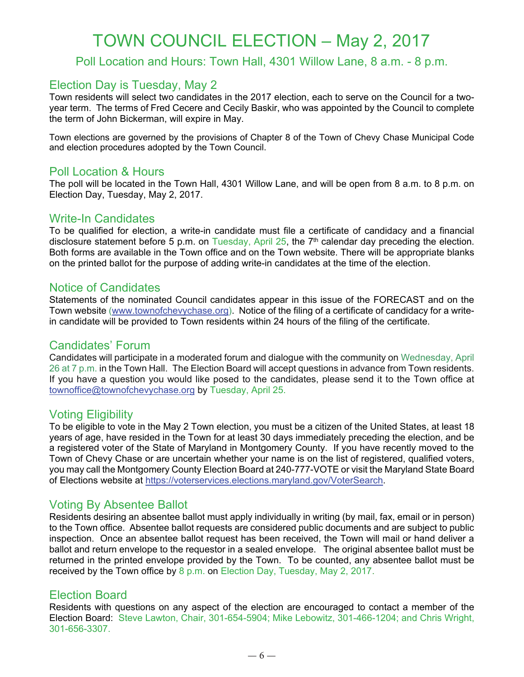# TOWN COUNCIL ELECTION – May 2, 2017

Poll Location and Hours: Town Hall, 4301 Willow Lane, 8 a.m. - 8 p.m.

### Election Day is Tuesday, May 2

Town residents will select two candidates in the 2017 election, each to serve on the Council for a twoyear term. The terms of Fred Cecere and Cecily Baskir, who was appointed by the Council to complete the term of John Bickerman, will expire in May.

Town elections are governed by the provisions of Chapter 8 of the Town of Chevy Chase Municipal Code and election procedures adopted by the Town Council.

#### Poll Location & Hours

The poll will be located in the Town Hall, 4301 Willow Lane, and will be open from 8 a.m. to 8 p.m. on Election Day, Tuesday, May 2, 2017.

### Write-In Candidates

To be qualified for election, a write-in candidate must file a certificate of candidacy and a financial disclosure statement before 5 p.m. on Tuesday, April 25, the 7<sup>th</sup> calendar day preceding the election. Both forms are available in the Town office and on the Town website. There will be appropriate blanks on the printed ballot for the purpose of adding write-in candidates at the time of the election.

#### Notice of Candidates

Statements of the nominated Council candidates appear in this issue of the FORECAST and on the Town website (www.townofchevychase.org). Notice of the filing of a certificate of candidacy for a writein candidate will be provided to Town residents within 24 hours of the filing of the certificate.

### Candidates' Forum

Candidates will participate in a moderated forum and dialogue with the community on Wednesday, April 26 at 7 p.m. in the Town Hall. The Election Board will accept questions in advance from Town residents. If you have a question you would like posed to the candidates, please send it to the Town office at townoffice@townofchevychase.org by Tuesday, April 25.

### Voting Eligibility

To be eligible to vote in the May 2 Town election, you must be a citizen of the United States, at least 18 years of age, have resided in the Town for at least 30 days immediately preceding the election, and be a registered voter of the State of Maryland in Montgomery County. If you have recently moved to the Town of Chevy Chase or are uncertain whether your name is on the list of registered, qualified voters, you may call the Montgomery County Election Board at 240-777-VOTE or visit the Maryland State Board of Elections website at https://voterservices.elections.maryland.gov/VoterSearch.

### Voting By Absentee Ballot

Residents desiring an absentee ballot must apply individually in writing (by mail, fax, email or in person) to the Town office. Absentee ballot requests are considered public documents and are subject to public inspection. Once an absentee ballot request has been received, the Town will mail or hand deliver a ballot and return envelope to the requestor in a sealed envelope. The original absentee ballot must be returned in the printed envelope provided by the Town. To be counted, any absentee ballot must be received by the Town office by 8 p.m. on Election Day, Tuesday, May 2, 2017.

#### Election Board

Residents with questions on any aspect of the election are encouraged to contact a member of the Election Board: Steve Lawton, Chair, 301-654-5904; Mike Lebowitz, 301-466-1204; and Chris Wright, 301-656-3307.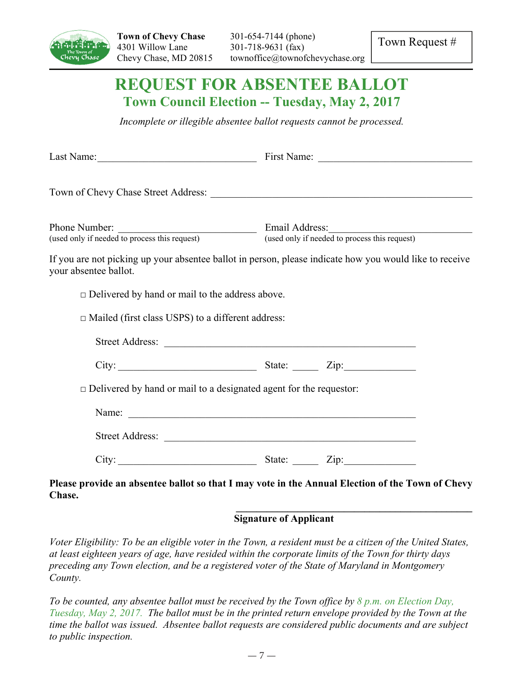

Town Request #

### **REQUEST FOR ABSENTEE BALLOT Town Council Election -- Tuesday, May 2, 2017**

*Incomplete or illegible absentee ballot requests cannot be processed.* 

|                                                                                                                                     | Phone Number: Email Address:<br>(used only if needed to process this request) Email Address:<br>(used only if needed to process this request) |  |  |
|-------------------------------------------------------------------------------------------------------------------------------------|-----------------------------------------------------------------------------------------------------------------------------------------------|--|--|
| If you are not picking up your absentee ballot in person, please indicate how you would like to receive<br>your absentee ballot.    |                                                                                                                                               |  |  |
| $\Box$ Delivered by hand or mail to the address above.                                                                              |                                                                                                                                               |  |  |
| $\Box$ Mailed (first class USPS) to a different address:                                                                            |                                                                                                                                               |  |  |
|                                                                                                                                     |                                                                                                                                               |  |  |
| City: $\begin{bmatrix} \text{City:} \\ \text{Mix:} \end{bmatrix}$ State: $\begin{bmatrix} \text{Zip:} \\ \text{Div:} \end{bmatrix}$ |                                                                                                                                               |  |  |
| $\Box$ Delivered by hand or mail to a designated agent for the requestor:                                                           |                                                                                                                                               |  |  |
|                                                                                                                                     |                                                                                                                                               |  |  |
|                                                                                                                                     |                                                                                                                                               |  |  |
|                                                                                                                                     |                                                                                                                                               |  |  |
| Please provide an absentee ballot so that I may vote in the Annual Election of the Town of Chevy<br>Chase.                          |                                                                                                                                               |  |  |

#### **\_\_\_\_\_\_\_\_\_\_\_\_\_\_\_\_\_\_\_\_\_\_\_\_\_\_\_\_\_\_\_\_\_\_\_\_\_\_\_\_\_\_\_\_\_\_ Signature of Applicant**

*Voter Eligibility: To be an eligible voter in the Town, a resident must be a citizen of the United States, at least eighteen years of age, have resided within the corporate limits of the Town for thirty days preceding any Town election, and be a registered voter of the State of Maryland in Montgomery County.*

*To be counted, any absentee ballot must be received by the Town office by 8 p.m. on Election Day, Tuesday, May 2, 2017. The ballot must be in the printed return envelope provided by the Town at the time the ballot was issued. Absentee ballot requests are considered public documents and are subject to public inspection.*